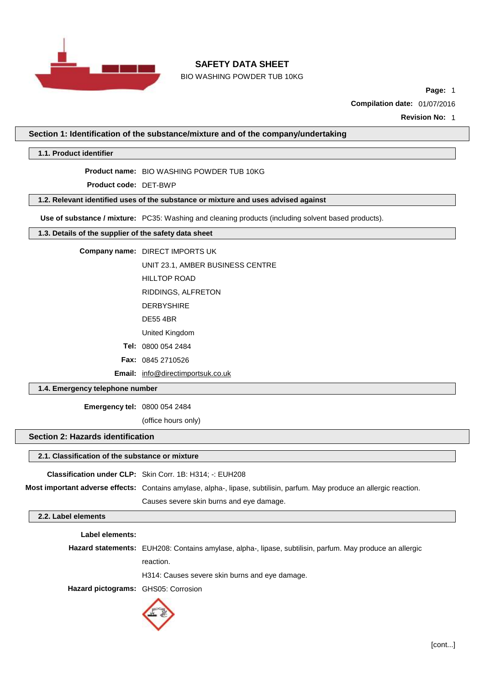

BIO WASHING POWDER TUB 10KG

**Page:** 1

**Compilation date:** 01/07/2016

**Revision No:** 1

**Section 1: Identification of the substance/mixture and of the company/undertaking**

**1.1. Product identifier**

**Product name:** BIO WASHING POWDER TUB 10KG

**Product code:** DET-BWP

**1.2. Relevant identified uses of the substance or mixture and uses advised against**

**Use of substance / mixture:** PC35: Washing and cleaning products (including solvent based products).

# **1.3. Details of the supplier of the safety data sheet**

**Company name:** DIRECT IMPORTS UK

UNIT 23.1, AMBER BUSINESS CENTRE

HILLTOP ROAD

RIDDINGS, ALFRETON

- DERBYSHIRE
- DE55 4BR

United Kingdom

**Tel:** 0800 054 2484

**Fax:** 0845 2710526

**Email:** [info@directimportsuk.co.uk](mailto:info@directimportsuk.co.uk)

**1.4. Emergency telephone number**

**Emergency tel:** 0800 054 2484

(office hours only)

## **Section 2: Hazards identification**

#### **2.1. Classification of the substance or mixture**

**Classification under CLP:** Skin Corr. 1B: H314; -: EUH208

**Most important adverse effects:** Contains amylase, alpha-, lipase, subtilisin, parfum. May produce an allergic reaction.

Causes severe skin burns and eye damage.

# **2.2. Label elements**

**Label elements:**

**Hazard statements:** EUH208: Contains amylase, alpha-, lipase, subtilisin, parfum. May produce an allergic reaction.

H314: Causes severe skin burns and eye damage.

**Hazard pictograms:** GHS05: Corrosion

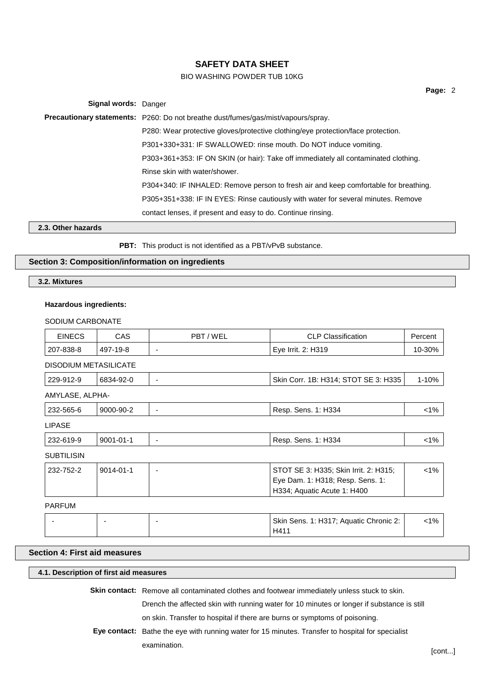# BIO WASHING POWDER TUB 10KG

**Page:** 2

**Signal words:** Danger **Precautionary statements:** P260: Do not breathe dust/fumes/gas/mist/vapours/spray. P280: Wear protective gloves/protective clothing/eye protection/face protection. P301+330+331: IF SWALLOWED: rinse mouth. Do NOT induce vomiting. P303+361+353: IF ON SKIN (or hair): Take off immediately all contaminated clothing. Rinse skin with water/shower. P304+340: IF INHALED: Remove person to fresh air and keep comfortable for breathing. P305+351+338: IF IN EYES: Rinse cautiously with water for several minutes. Remove contact lenses, if present and easy to do. Continue rinsing.

**2.3. Other hazards**

**PBT:** This product is not identified as a PBT/vPvB substance.

# **Section 3: Composition/information on ingredients**

**3.2. Mixtures**

#### **Hazardous ingredients:**

SODIUM CARBONATE

| <b>EINECS</b>         | <b>CAS</b>      | PBT/WEL<br><b>CLP Classification</b>                                                                     |  | Percent |
|-----------------------|-----------------|----------------------------------------------------------------------------------------------------------|--|---------|
| 207-838-8             | 497-19-8        | Eye Irrit. 2: H319<br>$\overline{\phantom{a}}$                                                           |  | 10-30%  |
| DISODIUM METASILICATE |                 |                                                                                                          |  |         |
| 229-912-9             | 6834-92-0       | Skin Corr. 1B: H314; STOT SE 3: H335<br>٠                                                                |  | 1-10%   |
| AMYLASE, ALPHA-       |                 |                                                                                                          |  |         |
| 232-565-6             | 9000-90-2       | Resp. Sens. 1: H334                                                                                      |  | $<1\%$  |
| <b>LIPASE</b>         |                 |                                                                                                          |  |         |
| 232-619-9             | $9001 - 01 - 1$ | Resp. Sens. 1: H334<br>٠                                                                                 |  | $< 1\%$ |
| <b>SUBTILISIN</b>     |                 |                                                                                                          |  |         |
| 232-752-2             | $9014 - 01 - 1$ | STOT SE 3: H335; Skin Irrit. 2: H315;<br>Eye Dam. 1: H318; Resp. Sens. 1:<br>H334; Aquatic Acute 1: H400 |  | $< 1\%$ |
| <b>PARFUM</b>         |                 |                                                                                                          |  |         |

#### -  $\vert$  -  $\vert$  -  $\vert$  -  $\vert$  -  $\vert$  Skin Sens. 1: H317; Aquatic Chronic 2: H411 <1%

## **Section 4: First aid measures**

#### **4.1. Description of first aid measures**

**Skin contact:** Remove all contaminated clothes and footwear immediately unless stuck to skin.

Drench the affected skin with running water for 10 minutes or longer if substance is still

on skin. Transfer to hospital if there are burns or symptoms of poisoning.

**Eye contact:** Bathe the eye with running water for 15 minutes. Transfer to hospital for specialist examination.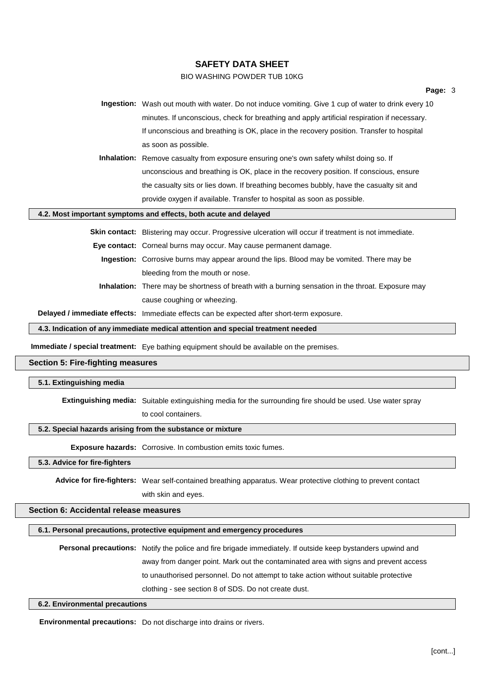# BIO WASHING POWDER TUB 10KG

**Ingestion:** Wash out mouth with water. Do not induce vomiting. Give 1 cup of water to drink every 10 minutes. If unconscious, check for breathing and apply artificial respiration if necessary. If unconscious and breathing is OK, place in the recovery position. Transfer to hospital as soon as possible.

**Inhalation:** Remove casualty from exposure ensuring one's own safety whilst doing so. If unconscious and breathing is OK, place in the recovery position. If conscious, ensure the casualty sits or lies down. If breathing becomes bubbly, have the casualty sit and provide oxygen if available. Transfer to hospital as soon as possible.

#### **4.2. Most important symptoms and effects, both acute and delayed**

**Skin contact:** Blistering may occur. Progressive ulceration will occur if treatment is not immediate.

- **Eye contact:** Corneal burns may occur. May cause permanent damage.
	- **Ingestion:** Corrosive burns may appear around the lips. Blood may be vomited. There may be bleeding from the mouth or nose.
	- **Inhalation:** There may be shortness of breath with a burning sensation in the throat. Exposure may cause coughing or wheezing.

**Delayed / immediate effects:** Immediate effects can be expected after short-term exposure.

**4.3. Indication of any immediate medical attention and special treatment needed**

**Immediate / special treatment:** Eye bathing equipment should be available on the premises.

## **Section 5: Fire-fighting measures**

#### **5.1. Extinguishing media**

**Extinguishing media:** Suitable extinguishing media for the surrounding fire should be used. Use water spray

to cool containers.

#### **5.2. Special hazards arising from the substance or mixture**

**Exposure hazards:** Corrosive. In combustion emits toxic fumes.

#### **5.3. Advice for fire-fighters**

**Advice for fire-fighters:** Wear self-contained breathing apparatus. Wear protective clothing to prevent contact with skin and eyes.

## **Section 6: Accidental release measures**

## **6.1. Personal precautions, protective equipment and emergency procedures**

**Personal precautions:** Notify the police and fire brigade immediately. If outside keep bystanders upwind and away from danger point. Mark out the contaminated area with signs and prevent access to unauthorised personnel. Do not attempt to take action without suitable protective clothing - see section 8 of SDS. Do not create dust.

## **6.2. Environmental precautions**

**Environmental precautions:** Do not discharge into drains or rivers.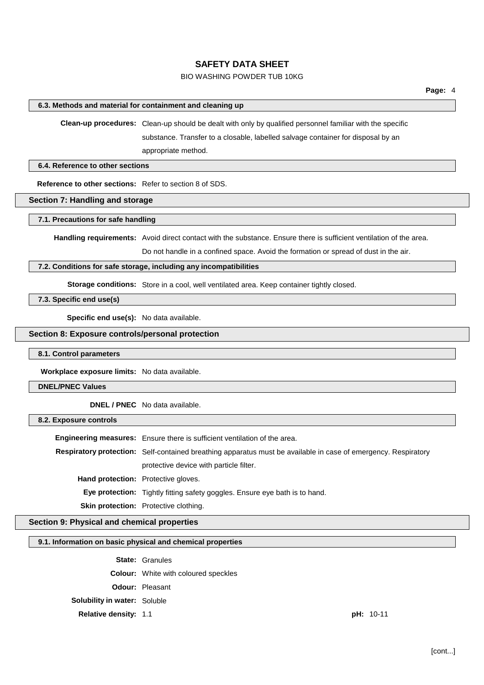# BIO WASHING POWDER TUB 10KG

## **6.3. Methods and material for containment and cleaning up**

**Clean-up procedures:** Clean-up should be dealt with only by qualified personnel familiar with the specific

substance. Transfer to a closable, labelled salvage container for disposal by an appropriate method.

#### **6.4. Reference to other sections**

**Reference to other sections:** Refer to section 8 of SDS.

# **Section 7: Handling and storage**

## **7.1. Precautions for safe handling**

**Handling requirements:** Avoid direct contact with the substance. Ensure there is sufficient ventilation of the area.

Do not handle in a confined space. Avoid the formation or spread of dust in the air.

#### **7.2. Conditions for safe storage, including any incompatibilities**

**Storage conditions:** Store in a cool, well ventilated area. Keep container tightly closed.

# **7.3. Specific end use(s)**

**Specific end use(s):** No data available.

# **Section 8: Exposure controls/personal protection**

#### **8.1. Control parameters**

**Workplace exposure limits:** No data available.

### **DNEL/PNEC Values**

**DNEL / PNEC** No data available.

#### **8.2. Exposure controls**

|                                            | <b>Engineering measures:</b> Ensure there is sufficient ventilation of the area.                               |  |
|--------------------------------------------|----------------------------------------------------------------------------------------------------------------|--|
|                                            | Respiratory protection: Self-contained breathing apparatus must be available in case of emergency. Respiratory |  |
|                                            | protective device with particle filter.                                                                        |  |
| <b>Hand protection:</b> Protective gloves. |                                                                                                                |  |
|                                            | Eye protection: Tightly fitting safety goggles. Ensure eye bath is to hand.                                    |  |
|                                            | <b>Skin protection:</b> Protective clothing.                                                                   |  |

# **Section 9: Physical and chemical properties**

## **9.1. Information on basic physical and chemical properties**

**State:** Granules

**Colour:** White with coloured speckles

**Odour:** Pleasant

**Solubility in water:** Soluble

**Relative density:** 1.1 **pH:** 10-11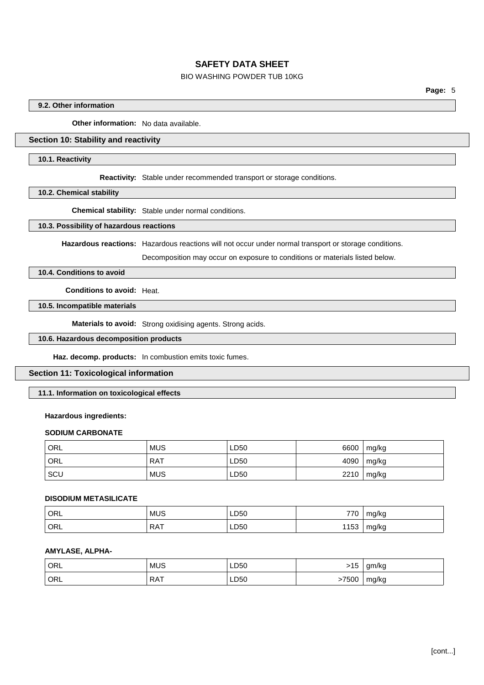# BIO WASHING POWDER TUB 10KG

**Page:** 5

## **9.2. Other information**

**Other information:** No data available.

# **Section 10: Stability and reactivity**

#### **10.1. Reactivity**

**Reactivity:** Stable under recommended transport or storage conditions.

**10.2. Chemical stability**

**Chemical stability:** Stable under normal conditions.

#### **10.3. Possibility of hazardous reactions**

**Hazardous reactions:** Hazardous reactions will not occur under normal transport or storage conditions.

Decomposition may occur on exposure to conditions or materials listed below.

# **10.4. Conditions to avoid**

**Conditions to avoid:** Heat.

# **10.5. Incompatible materials**

**Materials to avoid:** Strong oxidising agents. Strong acids.

# **10.6. Hazardous decomposition products**

**Haz. decomp. products:** In combustion emits toxic fumes.

## **Section 11: Toxicological information**

# **11.1. Information on toxicological effects**

## **Hazardous ingredients:**

## **SODIUM CARBONATE**

| ORL | <b>MUS</b> | LD50 | 6600 | mg/kg |
|-----|------------|------|------|-------|
| ORL | <b>RAT</b> | LD50 | 4090 | mg/kg |
| SCU | <b>MUS</b> | LD50 | 2210 | mg/kg |

## **DISODIUM METASILICATE**

| ORL | <b>MUS</b> | LD50 | 770  | mg/kg |
|-----|------------|------|------|-------|
| ORL | <b>RAT</b> | LD50 | 1153 | mg/kg |

## **AMYLASE, ALPHA-**

| ORL | <b>MUS</b> | LD50 | 1 드<br>ں ، ح | gm/kg |
|-----|------------|------|--------------|-------|
| ORL | <b>RAT</b> | LD50 | 7500         | mg/kg |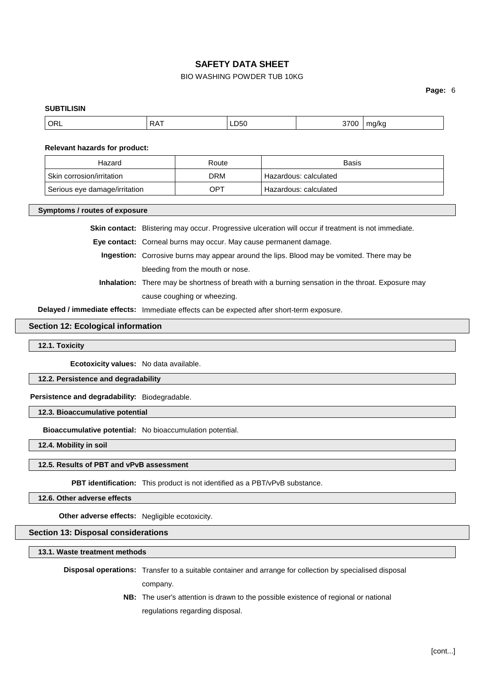# BIO WASHING POWDER TUB 10KG

**Page:** 6

# **SUBTILISIN** ORL RAT LD50 3700 mg/kg **Relevant hazards for product:** Hazard **Route** Route **Route Route Rasis** Skin corrosion/irritation DRM Hazardous: calculated Serious eye damage/irritation  $OPT$  Hazardous: calculated **Symptoms / routes of exposure Skin contact:** Blistering may occur. Progressive ulceration will occur if treatment is not immediate. **Eye contact:** Corneal burns may occur. May cause permanent damage. **Ingestion:** Corrosive burns may appear around the lips. Blood may be vomited. There may be bleeding from the mouth or nose. **Inhalation:** There may be shortness of breath with a burning sensation in the throat. Exposure may cause coughing or wheezing. **Delayed / immediate effects:** Immediate effects can be expected after short-term exposure. **Section 12: Ecological information 12.1. Toxicity Ecotoxicity values:** No data available. **12.2. Persistence and degradability Persistence and degradability:** Biodegradable. **12.3. Bioaccumulative potential Bioaccumulative potential:** No bioaccumulation potential. **12.4. Mobility in soil 12.5. Results of PBT and vPvB assessment PBT identification:** This product is not identified as a PBT/vPvB substance. **12.6. Other adverse effects Other adverse effects:** Negligible ecotoxicity. **Section 13: Disposal considerations 13.1. Waste treatment methods Disposal operations:** Transfer to a suitable container and arrange for collection by specialised disposal company. **NB:** The user's attention is drawn to the possible existence of regional or national regulations regarding disposal.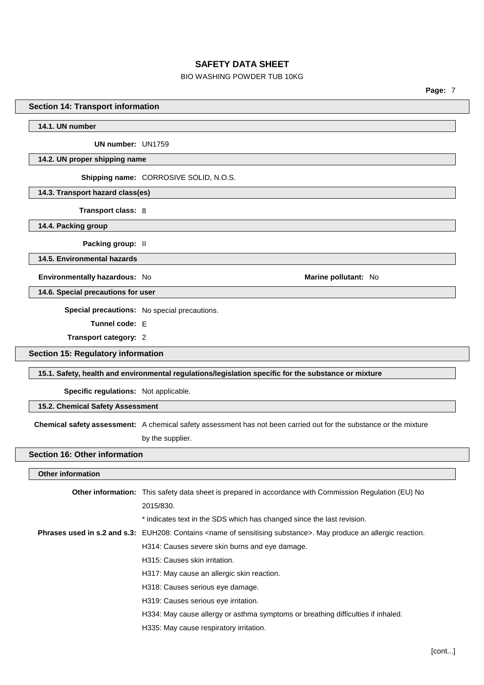# BIO WASHING POWDER TUB 10KG

**Page:** 7

# **Section 14: Transport information**

**14.1. UN number**

**UN number:** UN1759

#### **14.2. UN proper shipping name**

**Shipping name:** CORROSIVE SOLID, N.O.S.

**14.3. Transport hazard class(es)**

**Transport class:** 8

**14.4. Packing group**

**Packing group:** II

**14.5. Environmental hazards**

**Environmentally hazardous:** No **Marine pollutant:** No

**14.6. Special precautions for user**

**Special precautions:** No special precautions.

**Tunnel code:** E

**Transport category:** 2

**Section 15: Regulatory information**

**15.1. Safety, health and environmental regulations/legislation specific for the substance or mixture**

**Specific regulations:** Not applicable.

**15.2. Chemical Safety Assessment**

**Chemical safety assessment:** A chemical safety assessment has not been carried out for the substance or the mixture

by the supplier.

#### **Section 16: Other information**

#### **Other information**

| <b>Other information:</b> This safety data sheet is prepared in accordance with Commission Regulation (EU) No                           |
|-----------------------------------------------------------------------------------------------------------------------------------------|
| 2015/830.                                                                                                                               |
| * indicates text in the SDS which has changed since the last revision.                                                                  |
| <b>Phrases used in s.2 and s.3:</b> EUH208: Contains <name of="" sensitising="" substance="">. May produce an allergic reaction.</name> |
| H314: Causes severe skin burns and eye damage.                                                                                          |
| H315: Causes skin irritation.                                                                                                           |
| H317: May cause an allergic skin reaction.                                                                                              |
| H318: Causes serious eye damage.                                                                                                        |
| H319: Causes serious eye irritation.                                                                                                    |
| H334: May cause allergy or asthma symptoms or breathing difficulties if inhaled.                                                        |
| H335: May cause respiratory irritation.                                                                                                 |